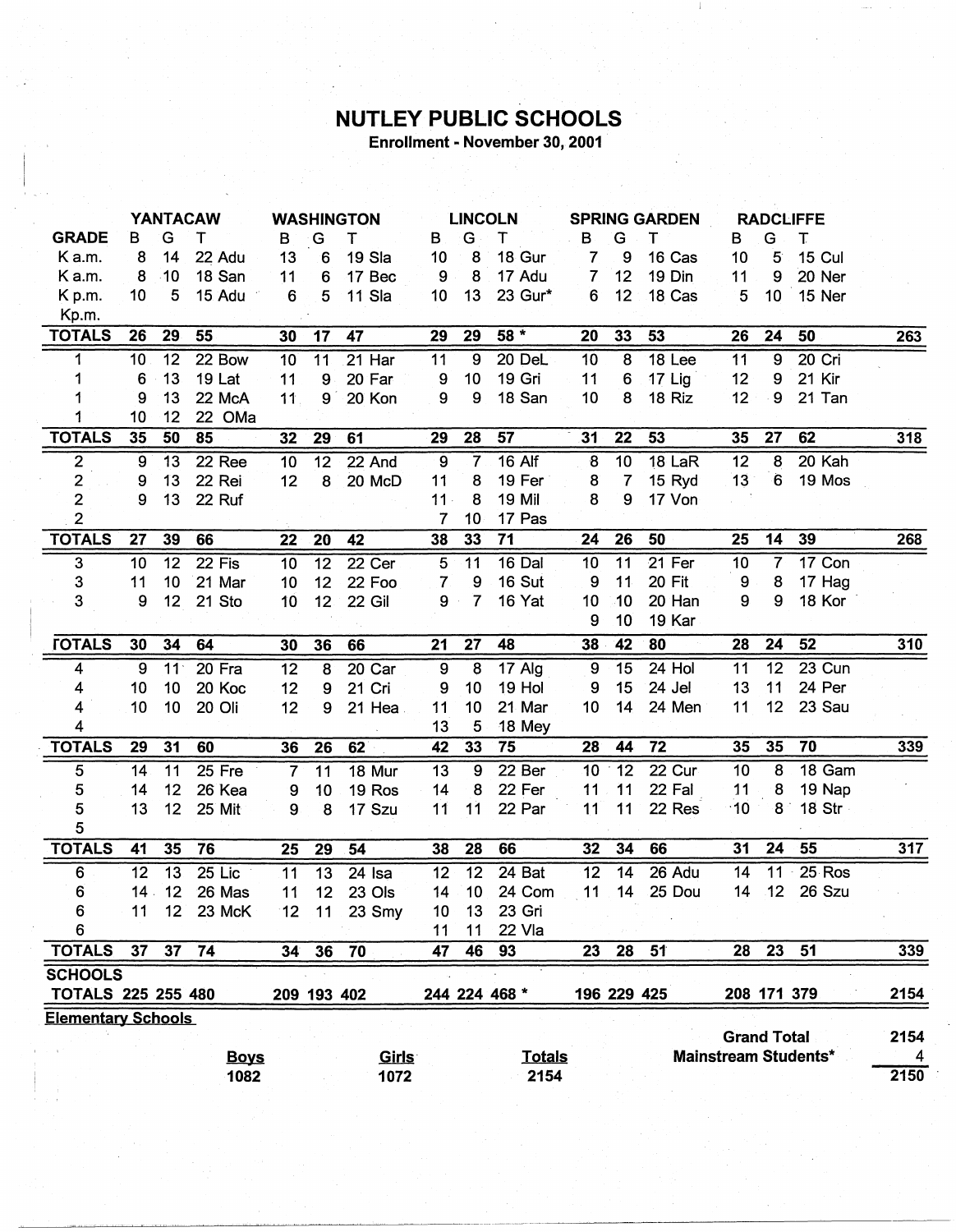## **NUTLEY PUBLIC SCHOOLS**

Enrollment - November 30, 2001

|                           | <b>YANTACAW</b>  |                 | <b>WASHINGTON</b> |                 | <b>LINCOLN</b>  |                    | <b>SPRING GARDEN</b> |                 |               | <b>RADCLIFFE</b> |                 |               |                    |                  |                      |      |
|---------------------------|------------------|-----------------|-------------------|-----------------|-----------------|--------------------|----------------------|-----------------|---------------|------------------|-----------------|---------------|--------------------|------------------|----------------------|------|
| <b>GRADE</b>              | в                | G               | т                 | В               | G               | Т                  | B.                   | G               | т             | в                | G               | т             | в                  | G                | т                    |      |
| Ka.m.                     | 8                | 14              | 22 Adu            | 13              | $6 \,$          | 19 Sla             | 10                   | 8               | 18 Gur        | $\overline{7}$   | 9               | 16 Cas        | 10                 | $5^{\circ}$      | 15 Cul               |      |
| Ka.m.                     | 8                | $-10$           | 18 San            | 11              | 6               | 17 Bec             | 9                    | 8               | 17 Adu        | $\overline{7}$   | 12              | 19 Din        | 11                 | 9                | 20 Ner               |      |
| Kp.m.                     | 10               | 5               | 15 Adu            | 6               | 5               | 11 Sla             | 10                   | 13              | 23 Gur*       | 6                | 12              | 18 Cas        | 5                  | 10               | 15 Ner               |      |
| Kp.m.                     |                  |                 |                   |                 |                 |                    |                      |                 |               |                  |                 |               |                    |                  |                      |      |
| <b>TOTALS</b>             | 26               | 29              | 55                | 30              | 17              | 47                 | 29                   | 29              | $58*$         | 20               | 33              | 53            | 26                 | 24               | 50                   | 263  |
| 1                         | 10               | 12              | 22 Bow            | 10              | $\overline{11}$ | $21$ Har           | 11                   | $\overline{9}$  | 20 DeL        | 10               | $\overline{8}$  | 18 Lee        | 11                 | $\overline{9}$   | 20 Cri               |      |
| 1                         | 6                | 13 <sub>1</sub> | 19 Lat            | 11              | 9               | 20 Far             | 9                    | 10              | 19 Gri        | 11               | $6\phantom{1}6$ | 17 Lig        | 12                 | 9                | 21 Kir               |      |
|                           | 9                | 13              | 22 McA            | 11              | $9^{\degree}$   | 20 Kon             | 9                    | 9               | 18 San        | 10               | 8               | 18 Riz        | 12 <sub>2</sub>    | $\boldsymbol{9}$ | 21 Tan               |      |
| 1                         | 10               | 12              | 22 OMa            |                 |                 |                    |                      |                 |               |                  |                 |               |                    |                  |                      |      |
| <b>TOTALS</b>             | 35               | 50              | 85                | 32              | 29              | 61                 | 29                   | 28              | 57            | 31               | 22              | 53            | 35                 | 27               | 62                   | 318  |
| $\overline{2}$            | $\overline{9}$   | 13              | 22 Ree            | 10              | 12              | 22 And             | $\overline{9}$       | $\overline{7}$  | $16$ Alf      | 8                | 10              | <b>18 LaR</b> | 12                 | 8                | 20 Kah               |      |
| $\overline{\mathbf{c}}$   | $\boldsymbol{9}$ | 13              | 22 Rei            | 12              | 8               | 20 McD             | 11                   | 8               | 19 Fer        | 8                | $\overline{7}$  | 15 Ryd        | 13                 | 6                | 19 Mos               |      |
| $\mathbf 2$               | 9                | 13              | 22 Ruf            |                 |                 |                    | $11 -$               | 8               | 19 Mil        | 8                | 9               | 17 Von        |                    |                  |                      |      |
| $\overline{2}$            |                  |                 |                   |                 |                 |                    | $\overline{7}$       | 10              | 17 Pas        |                  |                 |               |                    |                  |                      |      |
| <b>TOTALS</b>             | 27               | 39              | 66                | 22              | 20              | 42                 | 38                   | 33              | 71            | 24               | 26              | 50            | 25                 | 14               | 39                   | 268  |
| $\overline{3}$            | 10               | 12              | 22 Fis            | 10              | $\overline{12}$ | 22 Cer             | 5                    | 11              | 16 Dal        | 10               | 11              | 21 Fer        | 10                 | $\overline{7}$   | 17 Con               |      |
| $\mathbf 3$               | 11               | 10              | 21 Mar            | 10              | 12              | 22 Foo             | $\overline{7}$       | 9               | 16 Sut        | 9                | 11              | 20 Fit        | 9                  | 8                | 17 Hag               |      |
| 3                         | 9                | 12              | 21 Sto            | 10              | 12 <sub>2</sub> | 22 Gil             | 9                    | $\overline{7}$  | 16 Yat        | 10               | 10              | 20 Han        | 9                  | $\boldsymbol{9}$ | 18 Kor               |      |
|                           |                  |                 |                   |                 |                 |                    |                      |                 |               | 9                | 10              | 19 Kar        |                    |                  |                      |      |
| <b><i>FOTALS</i></b>      | 30               | 34              | 64                | 30              | 36              | 66                 | 21                   | 27              | 48            | 38               | 42              | 80            | 28                 | 24               | 52                   | 310  |
| 4                         | $\overline{9}$   | 11 <sup>°</sup> | 20 Fra            | 12              | $\overline{8}$  | 20 Car             | $\overline{9}$       | $\overline{8}$  | 17 Alg        | 9                | $\overline{15}$ | $24$ Hol      | $\overline{11}$    | $\overline{12}$  | $23$ Cun             |      |
| 4                         | 10               | 10              | 20 Koc            | 12              | 9               | 21 Cri             | 9                    | 10              | 19 Hol        | $\boldsymbol{9}$ | 15              | 24 Jel        | 13                 | 11               | 24 Per               |      |
| 4                         | 10               | 10              | 20 Oli            | 12              | 9               | 21 Hea             | 11                   | 10              | 21 Mar        | 10               | 14              | 24 Men        | 11                 | 12               | 23 Sau               |      |
| 4                         |                  |                 |                   |                 |                 |                    | 13                   | 5               | 18 Mey        |                  |                 |               |                    |                  |                      |      |
| <b>TOTALS</b>             | 29               | 31              | 60                | 36              | 26              | 62                 | 42                   | 33              | 75            | 28               | 44              | 72            | 35                 | 35               | 70                   | 339  |
| $\overline{5}$            | 14               | 11              | 25 Fre            | $\overline{7}$  | 11              | 18 Mur             | 13                   | $\overline{9}$  | 22 Ber        | 10               | 12              | 22 Cur        | 10                 | 8                | 18 Gam               |      |
| $\sqrt{5}$                | 14               | 12              | 26 Kea            | 9               | 10              | 19 Ros             | 14                   | 8               | 22 Fer        | 11               | 11              | 22 Fal        | 11                 | 8                | 19 Nap               |      |
| 5                         | 13               | 12              | 25 Mit            | 9               | 8               | 17 Szu             | 11                   | 11              | 22 Par        | 11               | 11              | 22 Res        | $-10$              |                  | 8 18 Str             |      |
| 5                         |                  |                 |                   |                 |                 |                    |                      |                 |               |                  |                 |               |                    |                  |                      |      |
| <b>TOTALS</b>             | 41               | 35              | 76                | 25              | 29              | 54                 | 38                   | 28              | 66            | 32               | 34              | 66            | 31                 | 24               | 55                   | 317  |
| 6                         | 12               | 13              | $25$ Lic          | 11              | $\overline{13}$ | 24 Isa             | $\overline{12}$      | $\overline{12}$ | 24 Bat        | $\overline{12}$  | 14              | 26 Adu        | $\overline{14}$    | $\overline{11}$  | $25$ Ros             |      |
| 6                         | 14.              | 12              | 26 Mas            | 11              | 12 <sup>°</sup> | 23 Ols             | 14                   | 10 <sub>1</sub> | 24 Com        | 11               | 14              | 25 Dou        | 14                 | 12 <sup>°</sup>  | 26 Szu               |      |
| 6                         | 11               |                 | 12 23 McK         |                 |                 | $12$ 11 23 Smy     | 10                   | 13              | 23 Gri        |                  |                 |               |                    |                  |                      |      |
| 6                         |                  |                 |                   |                 |                 |                    | 11                   | 11              | 22 Vla        |                  |                 |               |                    |                  |                      |      |
| <b>TOTALS</b>             | 37 <sub>2</sub>  | 37 <sub>2</sub> | 74                | 34 <sup>°</sup> | 36              | 70                 | 47                   | 46              | 93            | 23               | 28              | 51            | 28                 |                  | 23 51                | 339  |
| <b>SCHOOLS</b>            |                  |                 |                   |                 |                 |                    |                      |                 |               |                  |                 |               |                    |                  |                      |      |
| <b>TOTALS 225 255 480</b> |                  |                 |                   |                 | 209 193 402     |                    |                      |                 | 244 224 468 * |                  | 196 229 425     |               |                    | 208 171 379      |                      | 2154 |
| <b>Elementary Schools</b> |                  |                 |                   |                 |                 |                    |                      |                 |               |                  |                 |               |                    |                  |                      |      |
|                           |                  |                 |                   |                 |                 |                    |                      |                 |               |                  |                 |               | <b>Grand Total</b> |                  |                      | 2154 |
|                           |                  |                 | <b>Boys</b>       |                 |                 | Girls <sup>®</sup> |                      |                 | <b>Totals</b> |                  |                 |               |                    |                  | Mainstream Students* | 4    |
|                           |                  |                 | 1082              |                 |                 | 1072               |                      |                 | 2154          |                  |                 |               |                    |                  |                      | 2150 |